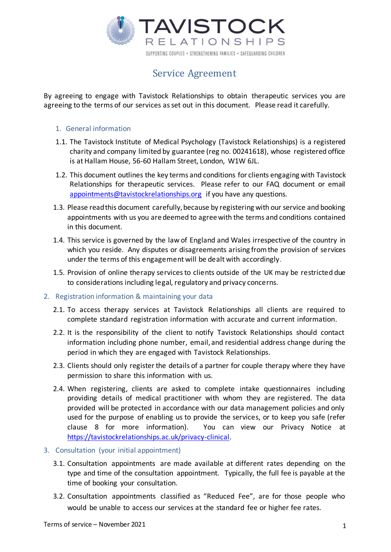

# Service Agreement

By agreeing to engage with Tavistock Relationships to obtain therapeutic services you are agreeing to the terms of our services as set out in this document. Please read it carefully.

# 1. General information

- 1.1. The Tavistock Institute of Medical Psychology (Tavistock Relationships) is a registered charity and company limited by guarantee (reg no. 00241618), whose registered office is at Hallam House, 56-60 Hallam Street, London, W1W 6JL.
- 1.2. This document outlines the key terms and conditions for clients engaging with Tavistock Relationships for therapeutic services. Please refer to our FAQ document or email appointments@tavistockrelationships.org if you have any questions.
- 1.3. Please read this document carefully, because by registering with our service and booking appointments with us you are deemed to agree with the terms and conditions contained in this document.
- 1.4. This service is governed by the law of England and Wales irrespective of the country in which you reside. Any disputes or disagreements arising fromthe provision of services under the terms of this engagement will be dealt with accordingly.
- 1.5. Provision of online therapy servicesto clients outside of the UK may be restricted due to considerations including legal, regulatory and privacy concerns.

## 2. Registration information & maintaining your data

- 2.1. To access therapy services at Tavistock Relationships all clients are required to complete standard registration information with accurate and current information.
- 2.2. It is the responsibility of the client to notify Tavistock Relationships should contact information including phone number, email, and residential address change during the period in which they are engaged with Tavistock Relationships.
- 2.3. Clients should only register the details of a partner for couple therapy where they have permission to share this information with us.
- 2.4. When registering, clients are asked to complete intake questionnaires including providing details of medical practitioner with whom they are registered. The data provided will be protected in accordance with our data management policies and only used for the purpose of enabling us to provide the services, or to keep you safe (refer clause 8 for more information). You can view our Privacy Notice at https://tavistockrelationships.ac.uk/privacy-clinical.
- 3. Consultation (your initial appointment)
	- 3.1. Consultation appointments are made available at different rates depending on the type and time of the consultation appointment. Typically, the full fee is payable at the time of booking your consultation.
	- 3.2. Consultation appointments classified as "Reduced Fee", are for those people who would be unable to access our services at the standard fee or higher fee rates.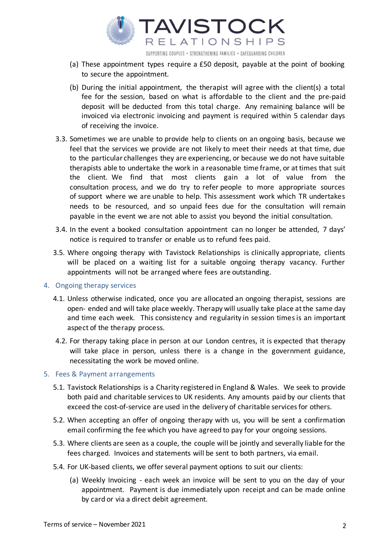

- (a) These appointment types require a £50 deposit, payable at the point of booking to secure the appointment.
- (b) During the initial appointment, the therapist will agree with the client(s) a total fee for the session, based on what is affordable to the client and the pre-paid deposit will be deducted from this total charge. Any remaining balance will be invoiced via electronic invoicing and payment is required within 5 calendar days of receiving the invoice.
- 3.3. Sometimes we are unable to provide help to clients on an ongoing basis, because we feel that the services we provide are not likely to meet their needs at that time, due to the particular challenges they are experiencing, or because we do not have suitable therapists able to undertake the work in a reasonable time frame, or at times that suit the client. We find that most clients gain a lot of value from the consultation process, and we do try to refer people to more appropriate sources of support where we are unable to help. This assessment work which TR undertakes needs to be resourced, and so unpaid fees due for the consultation will remain payable in the event we are not able to assist you beyond the initial consultation.
- 3.4. In the event a booked consultation appointment can no longer be attended, 7 days' notice is required to transfer or enable us to refund fees paid.
- 3.5. Where ongoing therapy with Tavistock Relationships is clinically appropriate, clients will be placed on a waiting list for a suitable ongoing therapy vacancy. Further appointments will not be arranged where fees are outstanding.

## 4. Ongoing therapy services

- 4.1. Unless otherwise indicated, once you are allocated an ongoing therapist, sessions are open- ended and will take place weekly. Therapy will usually take place at the same day and time each week. This consistency and regularity in session timesis an important aspect of the therapy process.
- 4.2. For therapy taking place in person at our London centres, it is expected that therapy will take place in person, unless there is a change in the government guidance, necessitating the work be moved online.

## 5. Fees & Payment arrangements

- 5.1. Tavistock Relationships is a Charity registered in England & Wales. We seek to provide both paid and charitable services to UK residents. Any amounts paid by our clients that exceed the cost-of-service are used in the delivery of charitable services for others.
- 5.2. When accepting an offer of ongoing therapy with us, you will be sent a confirmation email confirming the fee which you have agreed to pay for your ongoing sessions.
- 5.3. Where clients are seen as a couple, the couple will be jointly and severally liable for the fees charged. Invoices and statements will be sent to both partners, via email.
- 5.4. For UK-based clients, we offer several payment options to suit our clients:
	- (a) Weekly Invoicing each week an invoice will be sent to you on the day of your appointment. Payment is due immediately upon receipt and can be made online by card or via a direct debit agreement.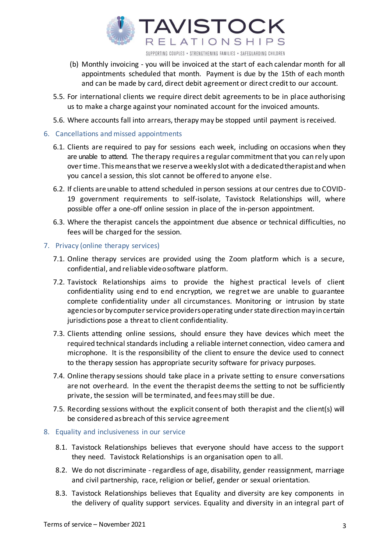

SUPPORTING COUPLES . STRENGTHENING FAMILIES . SAFEGUARDING CHILDREN

- (b) Monthly invoicing you will be invoiced at the start of each calendar month for all appointments scheduled that month. Payment is due by the 15th of each month and can be made by card, direct debit agreement or direct credit to our account.
- 5.5. For international clients we require direct debit agreements to be in place authorising us to make a charge against your nominated account for the invoiced amounts.
- 5.6. Where accounts fall into arrears, therapy may be stopped until payment is received.
- 6. Cancellations and missed appointments
	- 6.1. Clients are required to pay for sessions each week, including on occasions when they are unable to attend. The therapy requires a regular commitment that you can rely upon overtime. Thismeansthat we reserve a weeklyslot with a dedicated therapistand when you cancel a session, this slot cannot be offered to anyone else.
	- 6.2. If clients are unable to attend scheduled in person sessions at our centres due to COVID-19 government requirements to self-isolate, Tavistock Relationships will, where possible offer a one-off online session in place of the in-person appointment.
	- 6.3. Where the therapist cancels the appointment due absence or technical difficulties, no fees will be charged for the session.
- 7. Privacy (online therapy services)
	- 7.1. Online therapy services are provided using the Zoom platform which is a secure, confidential, and reliable videosoftware platform.
	- 7.2. Tavistock Relationships aims to provide the highest practical levels of client confidentiality using end to end encryption, we regret we are unable to guarantee complete confidentiality under all circumstances. Monitoring or intrusion by state agenciesor bycomputerservice providersoperating understatedirection mayin certain jurisdictions pose a threat to client confidentiality.
	- 7.3. Clients attending online sessions, should ensure they have devices which meet the required technical standards including a reliable internet connection, video camera and microphone. It is the responsibility of the client to ensure the device used to connect to the therapy session has appropriate security software for privacy purposes.
	- 7.4. Online therapy sessions should take place in a private setting to ensure conversations are not overheard. In the event the therapist deemsthe setting to not be sufficiently private, the session will be terminated, and feesmay still be due.
	- 7.5. Recording sessions without the explicit consent of both therapist and the client(s) will be considered asbreach of this service agreement
- 8. Equality and inclusiveness in our service
	- 8.1. Tavistock Relationships believes that everyone should have access to the support they need. Tavistock Relationships is an organisation open to all.
	- 8.2. We do not discriminate regardless of age, disability, gender reassignment, marriage and civil partnership, race, religion or belief, gender or sexual orientation.
	- 8.3. Tavistock Relationships believes that Equality and diversity are key components in the delivery of quality support services. Equality and diversity in an integral part of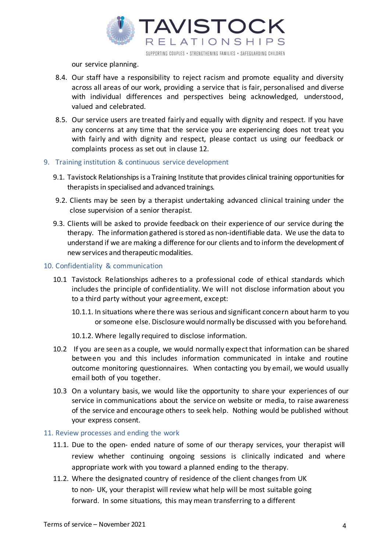

our service planning.

- 8.4. Our staff have a responsibility to reject racism and promote equality and diversity across all areas of our work, providing a service that is fair, personalised and diverse with individual differences and perspectives being acknowledged, understood, valued and celebrated.
- 8.5. Our service users are treated fairly and equally with dignity and respect. If you have any concerns at any time that the service you are experiencing does not treat you with fairly and with dignity and respect, please contact us using our feedback or complaints process as set out in clause 12.

#### 9. Training institution & continuous service development

- 9.1. Tavistock Relationships is a Training Institute that provides clinical training opportunities for therapists in specialised and advanced trainings.
- 9.2. Clients may be seen by a therapist undertaking advanced clinical training under the close supervision of a senior therapist.
- 9.3. Clients will be asked to provide feedback on their experience of our service during the therapy. The information gathered is stored as non-identifiable data. We use the data to understand if we are making a difference for our clients and to inform the development of new services and therapeutic modalities.

#### 10. Confidentiality & communication

- 10.1 Tavistock Relationships adheres to a professional code of ethical standards which includes the principle of confidentiality. We will not disclose information about you to a third party without your agreement, except:
	- 10.1.1. In situations where there was serious and significant concern about harm to you or someone else. Disclosure would normally be discussed with you beforehand.
	- 10.1.2. Where legally required to disclose information.
- 10.2 If you are seen as a couple, we would normally expectthat information can be shared between you and this includes information communicated in intake and routine outcome monitoring questionnaires. When contacting you by email, we would usually email both of you together.
- 10.3 On a voluntary basis, we would like the opportunity to share your experiences of our service in communications about the service on website or media, to raise awareness of the service and encourage others to seek help. Nothing would be published without your express consent.

#### 11. Review processes and ending the work

- 11.1. Due to the open- ended nature of some of our therapy services, your therapist will review whether continuing ongoing sessions is clinically indicated and where appropriate work with you toward a planned ending to the therapy.
- 11.2. Where the designated country of residence of the client changes from UK to non- UK, your therapist will review what help will be most suitable going forward. In some situations, this may mean transferring to a different